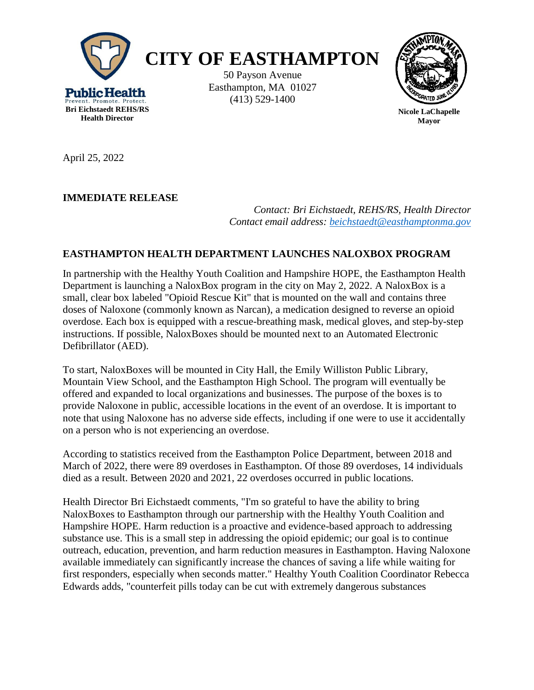



**Nicole LaChapelle Mayor**

April 25, 2022

## **IMMEDIATE RELEASE**

*Contact: Bri Eichstaedt, REHS/RS, Health Director Contact email address: [beichstaedt@easthamptonma.gov](mailto:beichstaedt@easthamptonma.gov)*

## **EASTHAMPTON HEALTH DEPARTMENT LAUNCHES NALOXBOX PROGRAM**

In partnership with the Healthy Youth Coalition and Hampshire HOPE, the Easthampton Health Department is launching a NaloxBox program in the city on May 2, 2022. A NaloxBox is a small, clear box labeled "Opioid Rescue Kit" that is mounted on the wall and contains three doses of Naloxone (commonly known as Narcan), a medication designed to reverse an opioid overdose. Each box is equipped with a rescue-breathing mask, medical gloves, and step-by-step instructions. If possible, NaloxBoxes should be mounted next to an Automated Electronic Defibrillator (AED).

To start, NaloxBoxes will be mounted in City Hall, the Emily Williston Public Library, Mountain View School, and the Easthampton High School. The program will eventually be offered and expanded to local organizations and businesses. The purpose of the boxes is to provide Naloxone in public, accessible locations in the event of an overdose. It is important to note that using Naloxone has no adverse side effects, including if one were to use it accidentally on a person who is not experiencing an overdose.

According to statistics received from the Easthampton Police Department, between 2018 and March of 2022, there were 89 overdoses in Easthampton. Of those 89 overdoses, 14 individuals died as a result. Between 2020 and 2021, 22 overdoses occurred in public locations.

Health Director Bri Eichstaedt comments, "I'm so grateful to have the ability to bring NaloxBoxes to Easthampton through our partnership with the Healthy Youth Coalition and Hampshire HOPE. Harm reduction is a proactive and evidence-based approach to addressing substance use. This is a small step in addressing the opioid epidemic; our goal is to continue outreach, education, prevention, and harm reduction measures in Easthampton. Having Naloxone available immediately can significantly increase the chances of saving a life while waiting for first responders, especially when seconds matter." Healthy Youth Coalition Coordinator Rebecca Edwards adds, "counterfeit pills today can be cut with extremely dangerous substances